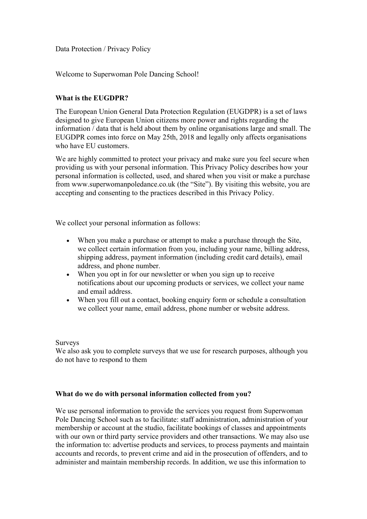Data Protection / Privacy Policy

Welcome to Superwoman Pole Dancing School!

# **What is the EUGDPR?**

The European Union General Data Protection Regulation (EUGDPR) is a set of laws designed to give European Union citizens more power and rights regarding the information / data that is held about them by online organisations large and small. The EUGDPR comes into force on May 25th, 2018 and legally only affects organisations who have EU customers.

We are highly committed to protect your privacy and make sure you feel secure when providing us with your personal information. This Privacy Policy describes how your personal information is collected, used, and shared when you visit or make a purchase from www.superwomanpoledance.co.uk (the "Site"). By visiting this website, you are accepting and consenting to the practices described in this Privacy Policy.

We collect your personal information as follows:

- When you make a purchase or attempt to make a purchase through the Site, we collect certain information from you, including your name, billing address, shipping address, payment information (including credit card details), email address, and phone number.
- When you opt in for our newsletter or when you sign up to receive notifications about our upcoming products or services, we collect your name and email address.
- When you fill out a contact, booking enquiry form or schedule a consultation we collect your name, email address, phone number or website address.

### Surveys

We also ask you to complete surveys that we use for research purposes, although you do not have to respond to them

## **What do we do with personal information collected from you?**

We use personal information to provide the services you request from Superwoman Pole Dancing School such as to facilitate: staff administration, administration of your membership or account at the studio, facilitate bookings of classes and appointments with our own or third party service providers and other transactions. We may also use the information to: advertise products and services, to process payments and maintain accounts and records, to prevent crime and aid in the prosecution of offenders, and to administer and maintain membership records. In addition, we use this information to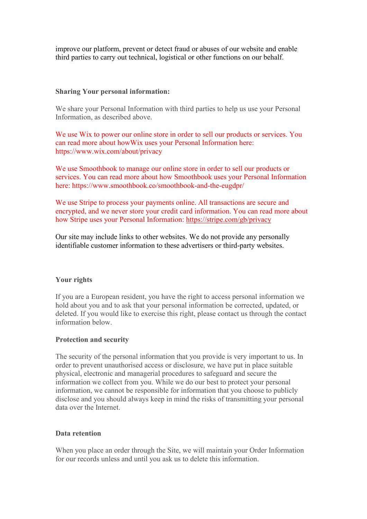improve our platform, prevent or detect fraud or abuses of our website and enable third parties to carry out technical, logistical or other functions on our behalf.

### **Sharing Your personal information:**

We share your Personal Information with third parties to help us use your Personal Information, as described above.

We use Wix to power our online store in order to sell our products or services. You can read more about howWix uses your Personal Information here: https://www.wix.com/about/privacy

We use Smoothbook to manage our online store in order to sell our products or services. You can read more about how Smoothbook uses your Personal Information here: https://www.smoothbook.co/smoothbook-and-the-eugdpr/

We use Stripe to process your payments online. All transactions are secure and encrypted, and we never store your credit card information. You can read more about how Stripe uses your Personal Information: <https://stripe.com/gb/privacy>

Our site may include links to other websites. We do not provide any personally identifiable customer information to these advertisers or third-party websites.

### **Your rights**

If you are a European resident, you have the right to access personal information we hold about you and to ask that your personal information be corrected, updated, or deleted. If you would like to exercise this right, please contact us through the contact information below.

### **Protection and security**

The security of the personal information that you provide is very important to us. In order to prevent unauthorised access or disclosure, we have put in place suitable physical, electronic and managerial procedures to safeguard and secure the information we collect from you. While we do our best to protect your personal information, we cannot be responsible for information that you choose to publicly disclose and you should always keep in mind the risks of transmitting your personal data over the Internet.

### **Data retention**

When you place an order through the Site, we will maintain your Order Information for our records unless and until you ask us to delete this information.